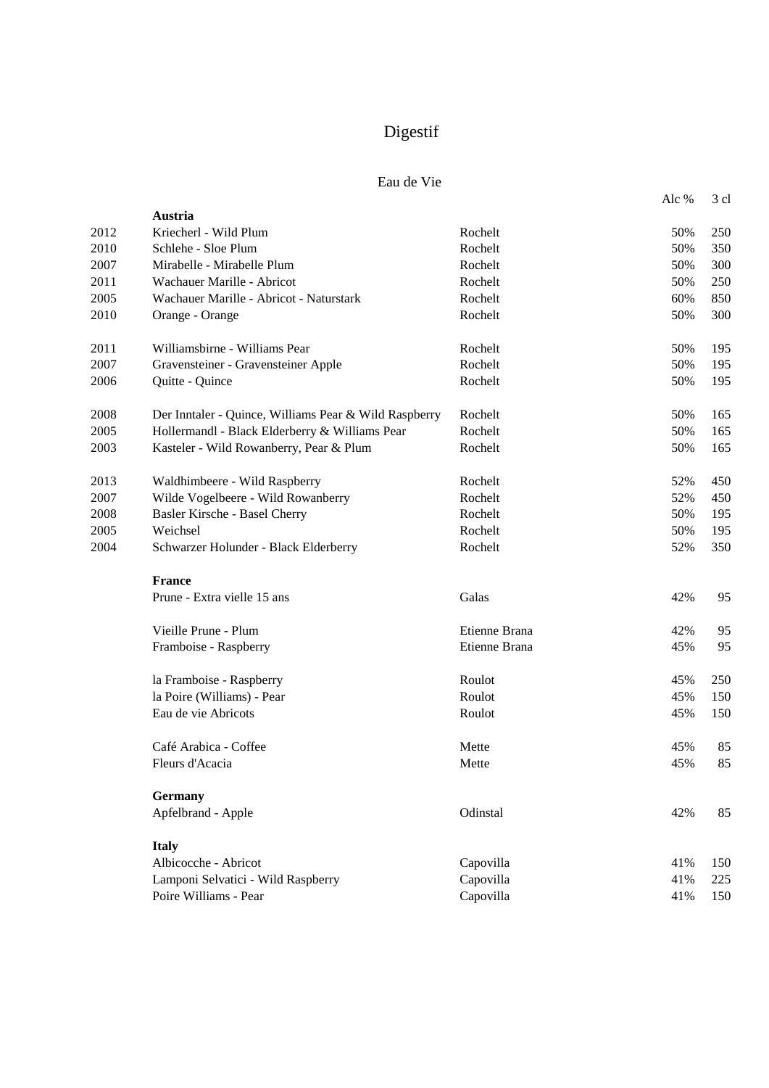# Digestif

# Eau de Vie

|      |                                                       |               | Alc % | 3 cl |
|------|-------------------------------------------------------|---------------|-------|------|
|      | Austria                                               |               |       |      |
| 2012 | Kriecherl - Wild Plum                                 | Rochelt       | 50%   | 250  |
| 2010 | Schlehe - Sloe Plum                                   | Rochelt       | 50%   | 350  |
| 2007 | Mirabelle - Mirabelle Plum                            | Rochelt       | 50%   | 300  |
| 2011 | Wachauer Marille - Abricot                            | Rochelt       | 50%   | 250  |
| 2005 | Wachauer Marille - Abricot - Naturstark               | Rochelt       | 60%   | 850  |
| 2010 | Orange - Orange                                       | Rochelt       | 50%   | 300  |
| 2011 | Williamsbirne - Williams Pear                         | Rochelt       | 50%   | 195  |
| 2007 | Gravensteiner - Gravensteiner Apple                   | Rochelt       | 50%   | 195  |
| 2006 | Quitte - Quince                                       | Rochelt       | 50%   | 195  |
| 2008 | Der Inntaler - Quince, Williams Pear & Wild Raspberry | Rochelt       | 50%   | 165  |
| 2005 | Hollermandl - Black Elderberry & Williams Pear        | Rochelt       | 50%   | 165  |
| 2003 | Kasteler - Wild Rowanberry, Pear & Plum               | Rochelt       | 50%   | 165  |
| 2013 | Waldhimbeere - Wild Raspberry                         | Rochelt       | 52%   | 450  |
| 2007 | Wilde Vogelbeere - Wild Rowanberry                    | Rochelt       | 52%   | 450  |
| 2008 | Basler Kirsche - Basel Cherry                         | Rochelt       | 50%   | 195  |
| 2005 | Weichsel                                              | Rochelt       | 50%   | 195  |
| 2004 | Schwarzer Holunder - Black Elderberry                 | Rochelt       | 52%   | 350  |
|      | France                                                |               |       |      |
|      | Prune - Extra vielle 15 ans                           | Galas         | 42%   | 95   |
|      | Vieille Prune - Plum                                  | Etienne Brana | 42%   | 95   |
|      | Framboise - Raspberry                                 | Etienne Brana | 45%   | 95   |
|      | la Framboise - Raspberry                              | Roulot        | 45%   | 250  |
|      | la Poire (Williams) - Pear                            | Roulot        | 45%   | 150  |
|      | Eau de vie Abricots                                   | Roulot        | 45%   | 150  |
|      | Café Arabica - Coffee                                 | Mette         | 45%   | 85   |
|      | Fleurs d'Acacia                                       | Mette         | 45%   | 85   |
|      | <b>Germany</b>                                        |               |       |      |
|      | Apfelbrand - Apple                                    | Odinstal      | 42%   | 85   |
|      | <b>Italy</b>                                          |               |       |      |
|      | Albicocche - Abricot                                  | Capovilla     | 41%   | 150  |
|      | Lamponi Selvatici - Wild Raspberry                    | Capovilla     | 41%   | 225  |
|      | Poire Williams - Pear                                 | Capovilla     | 41%   | 150  |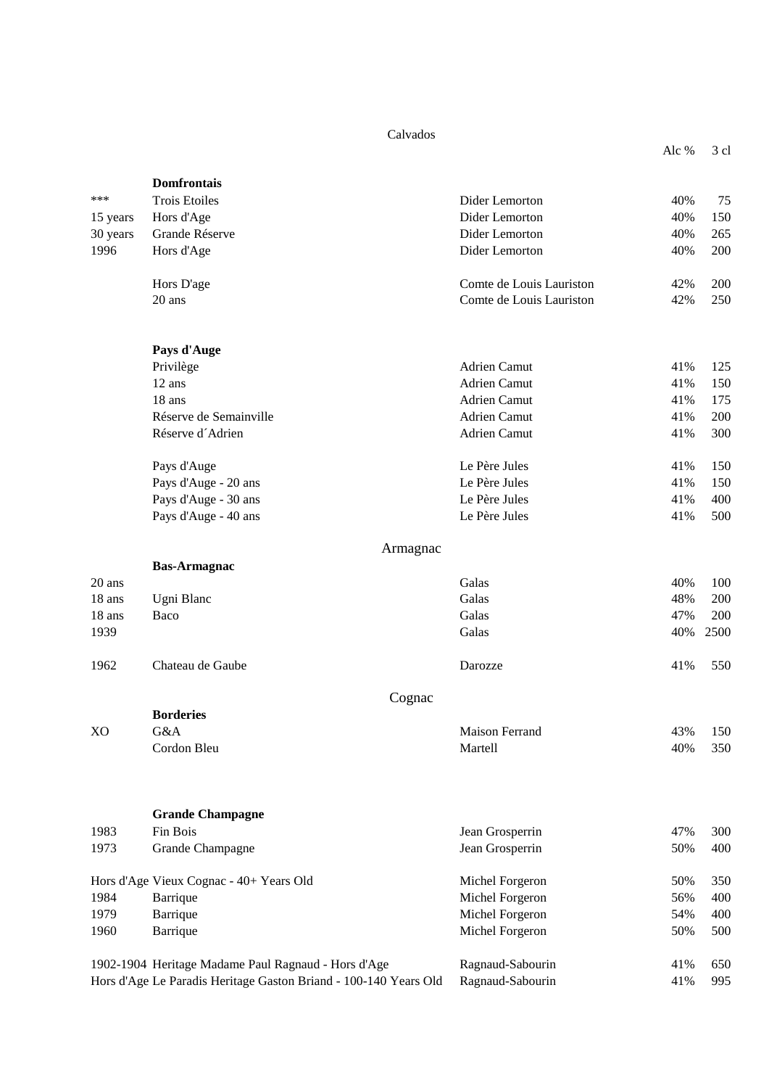#### Calvados

|          |                                         | Calvauos                 |       |      |
|----------|-----------------------------------------|--------------------------|-------|------|
|          |                                         |                          | Alc % | 3 cl |
|          | <b>Domfrontais</b>                      |                          |       |      |
| ***      | <b>Trois Etoiles</b>                    | Dider Lemorton           | 40%   | 75   |
| 15 years | Hors d'Age                              | Dider Lemorton           | 40%   | 150  |
| 30 years | Grande Réserve                          | Dider Lemorton           | 40%   | 265  |
| 1996     | Hors d'Age                              | Dider Lemorton           | 40%   | 200  |
|          | Hors D'age                              | Comte de Louis Lauriston | 42%   | 200  |
|          | 20 ans                                  | Comte de Louis Lauriston | 42%   | 250  |
|          | Pays d'Auge                             |                          |       |      |
|          | Privilège                               | Adrien Camut             | 41%   | 125  |
|          | 12 ans                                  | Adrien Camut             | 41%   | 150  |
|          | 18 ans                                  | Adrien Camut             | 41%   | 175  |
|          | Réserve de Semainville                  | Adrien Camut             | 41%   | 200  |
|          | Réserve d'Adrien                        | <b>Adrien Camut</b>      | 41%   | 300  |
|          | Pays d'Auge                             | Le Père Jules            | 41%   | 150  |
|          | Pays d'Auge - 20 ans                    | Le Père Jules            | 41%   | 150  |
|          | Pays d'Auge - 30 ans                    | Le Père Jules            | 41%   | 400  |
|          | Pays d'Auge - 40 ans                    | Le Père Jules            | 41%   | 500  |
|          |                                         | Armagnac                 |       |      |
|          | <b>Bas-Armagnac</b>                     |                          |       |      |
| $20$ ans |                                         | Galas                    | 40%   | 100  |
| 18 ans   | Ugni Blanc                              | Galas                    | 48%   | 200  |
| 18 ans   | Baco                                    | Galas                    | 47%   | 200  |
| 1939     |                                         | Galas                    | 40%   | 2500 |
| 1962     | Chateau de Gaube                        | Darozze                  | 41%   | 550  |
|          |                                         | Cognac                   |       |      |
|          | <b>Borderies</b>                        |                          |       |      |
| XO       | G&A                                     | <b>Maison Ferrand</b>    | 43%   | 150  |
|          | Cordon Bleu                             | Martell                  | 40%   | 350  |
|          | <b>Grande Champagne</b>                 |                          |       |      |
| 1983     | Fin Bois                                | Jean Grosperrin          | 47%   | 300  |
| 1973     | Grande Champagne                        | Jean Grosperrin          | 50%   | 400  |
|          | Hors d'Age Vieux Cognac - 40+ Years Old | Michel Forgeron          | 50%   | 350  |
| 1984     | Barrique                                | Michel Forgeron          | 56%   | 400  |
| 1979     | Barrique                                | Michel Forgeron          | 54%   | 400  |
| 1960     | Barrique                                | Michel Forgeron          | 50%   | 500  |
|          |                                         |                          |       |      |

1902-1904 Heritage Madame Paul Ragnaud - Hors d'Age Ragnaud-Sabourin 41% 650 Hors d'Age Le Paradis Heritage Gaston Briand - 100-140 Years Old Ragnaud-Sabourin 41% 995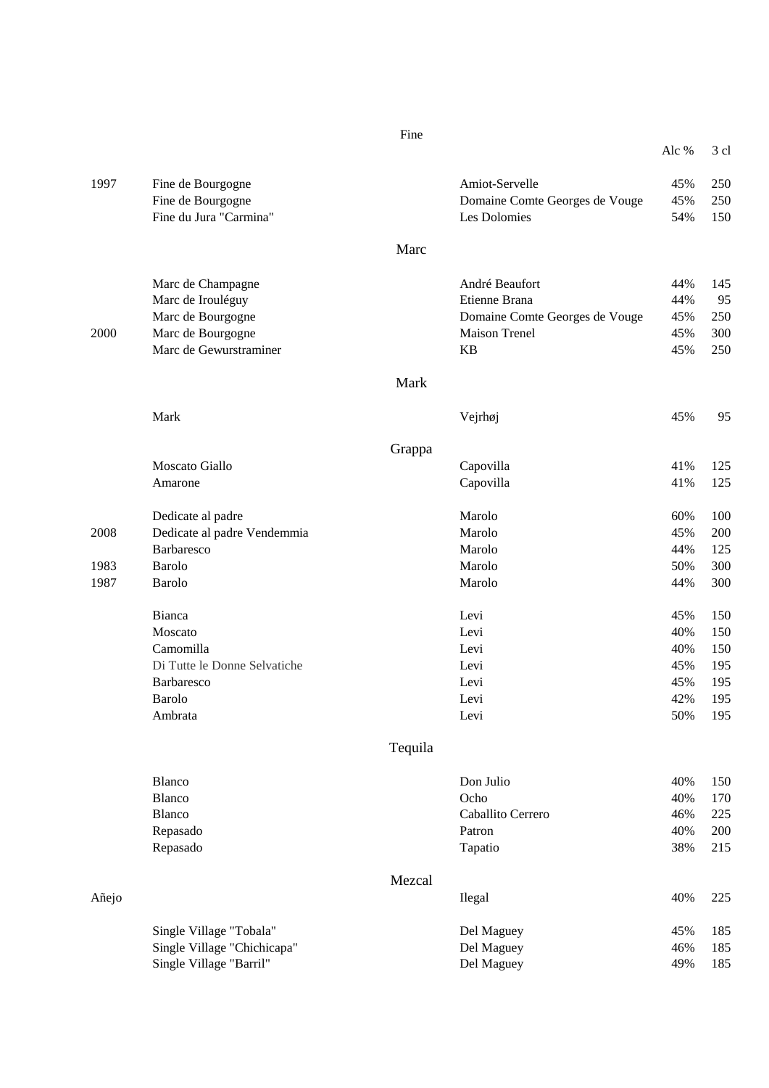|       |                              |         |                                | Alc % | 3 cl |
|-------|------------------------------|---------|--------------------------------|-------|------|
| 1997  | Fine de Bourgogne            |         | Amiot-Servelle                 | 45%   | 250  |
|       | Fine de Bourgogne            |         | Domaine Comte Georges de Vouge | 45%   | 250  |
|       | Fine du Jura "Carmina"       |         | Les Dolomies                   | 54%   | 150  |
|       |                              | Marc    |                                |       |      |
|       | Marc de Champagne            |         | André Beaufort                 | 44%   | 145  |
|       | Marc de Irouléguy            |         | Etienne Brana                  | 44%   | 95   |
|       | Marc de Bourgogne            |         | Domaine Comte Georges de Vouge | 45%   | 250  |
| 2000  | Marc de Bourgogne            |         | <b>Maison Trenel</b>           | 45%   | 300  |
|       | Marc de Gewurstraminer       |         | <b>KB</b>                      | 45%   | 250  |
|       |                              | Mark    |                                |       |      |
|       | Mark                         |         | Vejrhøj                        | 45%   | 95   |
|       |                              | Grappa  |                                |       |      |
|       | Moscato Giallo               |         | Capovilla                      | 41%   | 125  |
|       | Amarone                      |         | Capovilla                      | 41%   | 125  |
|       | Dedicate al padre            |         | Marolo                         | 60%   | 100  |
| 2008  | Dedicate al padre Vendemmia  |         | Marolo                         | 45%   | 200  |
|       | Barbaresco                   |         | Marolo                         | 44%   | 125  |
| 1983  | <b>Barolo</b>                |         | Marolo                         | 50%   | 300  |
| 1987  | Barolo                       |         | Marolo                         | 44%   | 300  |
|       | <b>Bianca</b>                |         | Levi                           | 45%   | 150  |
|       | Moscato                      |         | Levi                           | 40%   | 150  |
|       | Camomilla                    |         | Levi                           | 40%   | 150  |
|       | Di Tutte le Donne Selvatiche |         | Levi                           | 45%   | 195  |
|       | Barbaresco                   |         | Levi                           | 45%   | 195  |
|       | <b>Barolo</b>                |         | Levi                           | 42%   | 195  |
|       | Ambrata                      |         | Levi                           | 50%   | 195  |
|       |                              | Tequila |                                |       |      |
|       | Blanco                       |         | Don Julio                      | 40%   | 150  |
|       | <b>Blanco</b>                |         | Ocho                           | 40%   | 170  |
|       | Blanco                       |         | Caballito Cerrero              | 46%   | 225  |
|       | Repasado                     |         | Patron                         | 40%   | 200  |
|       | Repasado                     |         | Tapatio                        | 38%   | 215  |
|       |                              | Mezcal  |                                |       |      |
| Añejo |                              |         | Ilegal                         | 40%   | 225  |
|       | Single Village "Tobala"      |         | Del Maguey                     | 45%   | 185  |
|       | Single Village "Chichicapa"  |         | Del Maguey                     | 46%   | 185  |
|       | Single Village "Barril"      |         | Del Maguey                     | 49%   | 185  |

Fine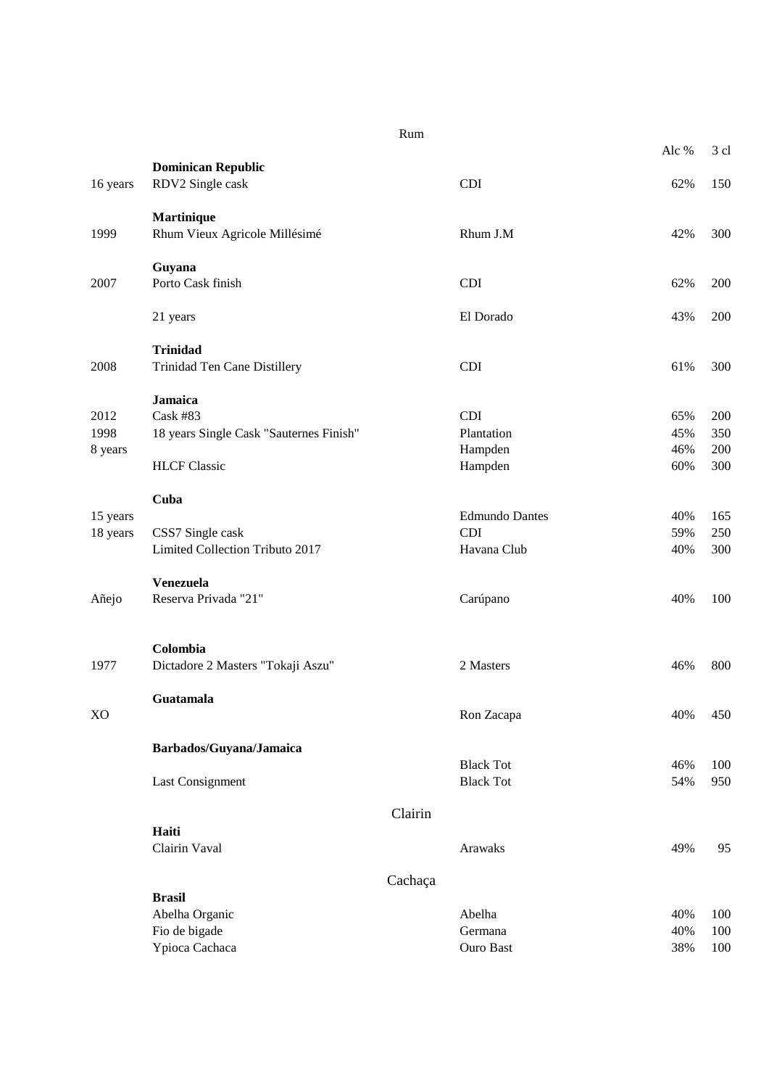|          |                                               | Rum     |                       |       |      |
|----------|-----------------------------------------------|---------|-----------------------|-------|------|
|          |                                               |         |                       | Alc % | 3 cl |
| 16 years | <b>Dominican Republic</b><br>RDV2 Single cask |         | <b>CDI</b>            | 62%   | 150  |
|          | <b>Martinique</b>                             |         |                       |       |      |
| 1999     | Rhum Vieux Agricole Millésimé                 |         | Rhum J.M              | 42%   | 300  |
|          | Guyana                                        |         |                       |       |      |
| 2007     | Porto Cask finish                             |         | <b>CDI</b>            | 62%   | 200  |
|          | 21 years                                      |         | El Dorado             | 43%   | 200  |
|          | <b>Trinidad</b>                               |         |                       |       |      |
| 2008     | Trinidad Ten Cane Distillery                  |         | <b>CDI</b>            | 61%   | 300  |
|          | <b>Jamaica</b>                                |         |                       |       |      |
| 2012     | <b>Cask #83</b>                               |         | <b>CDI</b>            | 65%   | 200  |
| 1998     | 18 years Single Cask "Sauternes Finish"       |         | Plantation            | 45%   | 350  |
| 8 years  |                                               |         | Hampden               | 46%   | 200  |
|          | <b>HLCF</b> Classic                           |         | Hampden               | 60%   | 300  |
|          | Cuba                                          |         |                       |       |      |
| 15 years |                                               |         | <b>Edmundo Dantes</b> | 40%   | 165  |
| 18 years | CSS7 Single cask                              |         | <b>CDI</b>            | 59%   | 250  |
|          | Limited Collection Tributo 2017               |         | Havana Club           | 40%   | 300  |
|          | Venezuela                                     |         |                       |       |      |
| Añejo    | Reserva Privada "21"                          |         | Carúpano              | 40%   | 100  |
|          | Colombia                                      |         |                       |       |      |
| 1977     | Dictadore 2 Masters "Tokaji Aszu"             |         | 2 Masters             | 46%   | 800  |
|          | Guatamala                                     |         |                       |       |      |
| XO       |                                               |         | Ron Zacapa            | 40%   | 450  |
|          | Barbados/Guyana/Jamaica                       |         |                       |       |      |
|          |                                               |         | <b>Black Tot</b>      | 46%   | 100  |
|          | Last Consignment                              |         | <b>Black Tot</b>      | 54%   | 950  |
|          |                                               | Clairin |                       |       |      |
|          | Haiti                                         |         |                       |       |      |
|          | Clairin Vaval                                 |         | Arawaks               | 49%   | 95   |
|          |                                               | Cachaça |                       |       |      |
|          | <b>Brasil</b>                                 |         |                       |       |      |
|          | Abelha Organic                                |         | Abelha                | 40%   | 100  |
|          | Fio de bigade                                 |         | Germana               | 40%   | 100  |
|          | Ypioca Cachaca                                |         | Ouro Bast             | 38%   | 100  |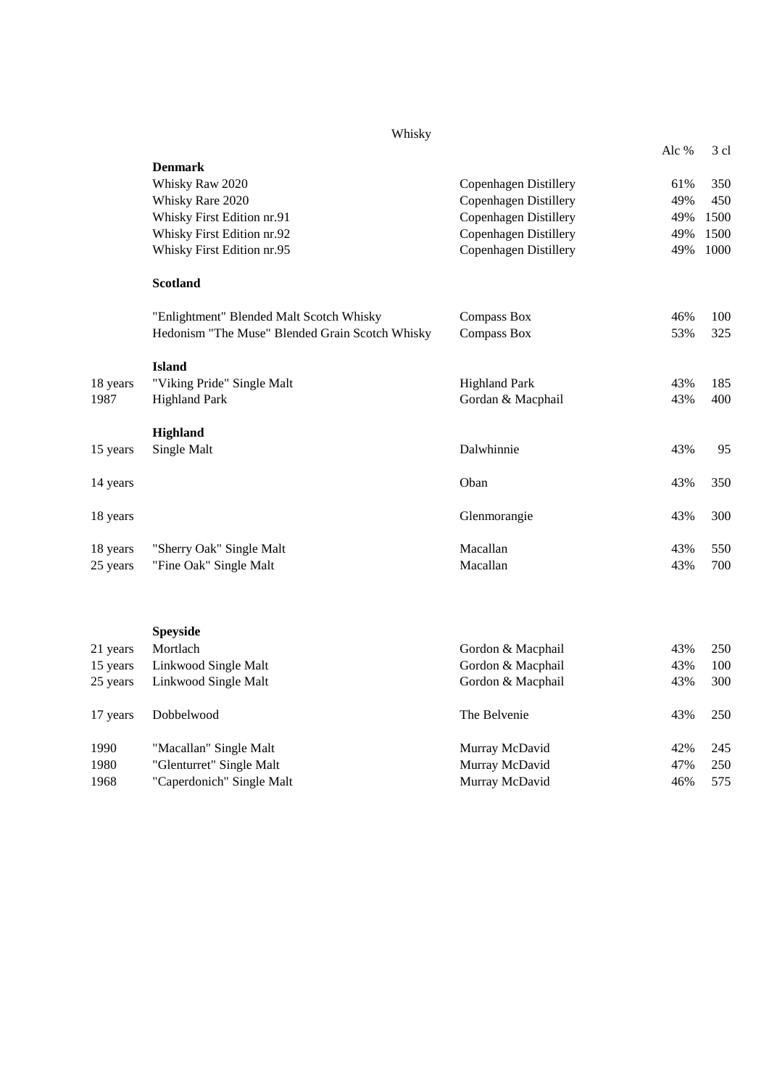|          | Whisky                                          |                              |       |      |
|----------|-------------------------------------------------|------------------------------|-------|------|
|          |                                                 |                              | Alc % | 3 cl |
|          | <b>Denmark</b>                                  |                              |       |      |
|          | Whisky Raw 2020                                 | Copenhagen Distillery        | 61%   | 350  |
|          | Whisky Rare 2020                                | Copenhagen Distillery        | 49%   | 450  |
|          | Whisky First Edition nr.91                      | <b>Copenhagen Distillery</b> | 49%   | 1500 |
|          | Whisky First Edition nr.92                      | <b>Copenhagen Distillery</b> | 49%   | 1500 |
|          | Whisky First Edition nr.95                      | Copenhagen Distillery        | 49%   | 1000 |
|          | <b>Scotland</b>                                 |                              |       |      |
|          | "Enlightment" Blended Malt Scotch Whisky        | Compass Box                  | 46%   | 100  |
|          | Hedonism "The Muse" Blended Grain Scotch Whisky | Compass Box                  | 53%   | 325  |
|          | <b>Island</b>                                   |                              |       |      |
| 18 years | "Viking Pride" Single Malt                      | <b>Highland Park</b>         | 43%   | 185  |
| 1987     | <b>Highland Park</b>                            | Gordan & Macphail            | 43%   | 400  |
|          | Highland                                        |                              |       |      |
| 15 years | Single Malt                                     | Dalwhinnie                   | 43%   | 95   |
| 14 years |                                                 | Oban                         | 43%   | 350  |
| 18 years |                                                 | Glenmorangie                 | 43%   | 300  |
| 18 years | "Sherry Oak" Single Malt                        | Macallan                     | 43%   | 550  |
| 25 years | "Fine Oak" Single Malt                          | Macallan                     | 43%   | 700  |
|          |                                                 |                              |       |      |
|          | <b>Speyside</b>                                 |                              |       |      |
| 21 years | Mortlach                                        | Gordon & Macphail            | 43%   | 250  |
| 15 years | Linkwood Single Malt                            | Gordon & Macphail            | 43%   | 100  |
| 25 years | Linkwood Single Malt                            | Gordon & Macphail            | 43%   | 300  |

| 17 years | Dobbelwood                | The Belvenie   | 43% | 250 |
|----------|---------------------------|----------------|-----|-----|
| 1990     | "Macallan" Single Malt    | Murray McDavid | 42% | 245 |
| 1980     | "Glenturret" Single Malt  | Murray McDavid | 47% | 250 |
| 1968     | "Caperdonich" Single Malt | Murray McDavid | 46% | 575 |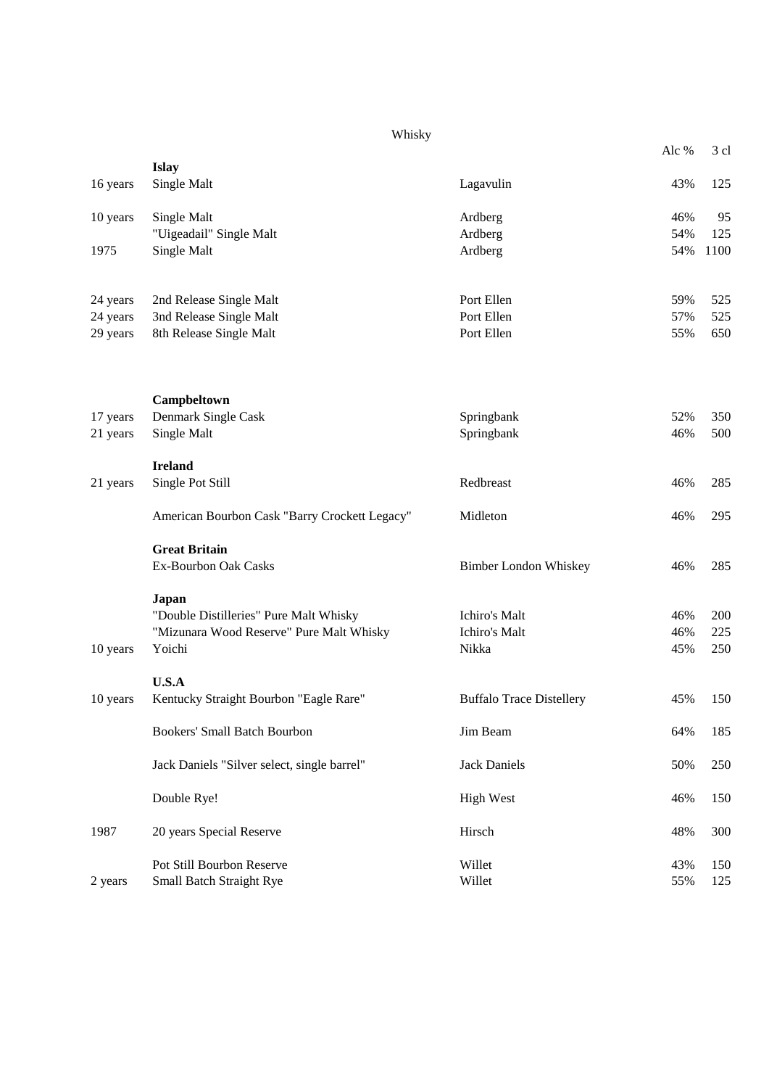## Whisky

|                      |                                                 |                                 | Alc % | 3 cl |
|----------------------|-------------------------------------------------|---------------------------------|-------|------|
|                      | <b>Islay</b>                                    |                                 |       |      |
| 16 years             | Single Malt                                     | Lagavulin                       | 43%   | 125  |
| 10 years             | Single Malt                                     | Ardberg                         | 46%   | 95   |
|                      | "Uigeadail" Single Malt                         | Ardberg                         | 54%   | 125  |
| 1975                 | Single Malt                                     | Ardberg                         | 54%   | 1100 |
| 24 years             | 2nd Release Single Malt                         | Port Ellen                      | 59%   | 525  |
| 24 years             | 3nd Release Single Malt                         | Port Ellen<br>Port Ellen        | 57%   | 525  |
| 29 years             | 8th Release Single Malt                         |                                 | 55%   | 650  |
|                      | Campbeltown<br>Denmark Single Cask              |                                 | 52%   | 350  |
| 17 years<br>21 years | Single Malt                                     | Springbank<br>Springbank        | 46%   | 500  |
|                      |                                                 |                                 |       |      |
|                      | <b>Ireland</b>                                  |                                 |       |      |
| 21 years             | Single Pot Still                                | Redbreast                       | 46%   | 285  |
|                      | American Bourbon Cask "Barry Crockett Legacy"   | Midleton                        | 46%   | 295  |
|                      | <b>Great Britain</b>                            |                                 |       |      |
|                      | Ex-Bourbon Oak Casks                            | <b>Bimber London Whiskey</b>    | 46%   | 285  |
|                      | Japan<br>"Double Distilleries" Pure Malt Whisky | Ichiro's Malt                   | 46%   | 200  |
|                      | "Mizunara Wood Reserve" Pure Malt Whisky        | Ichiro's Malt                   | 46%   | 225  |
| 10 years             | Yoichi                                          | Nikka                           | 45%   | 250  |
|                      | U.S.A                                           |                                 |       |      |
| 10 years             | Kentucky Straight Bourbon "Eagle Rare"          | <b>Buffalo Trace Distellery</b> | 45%   | 150  |
|                      | <b>Bookers' Small Batch Bourbon</b>             | Jim Beam                        | 64%   | 185  |
|                      | Jack Daniels "Silver select, single barrel"     | <b>Jack Daniels</b>             | 50%   | 250  |
|                      | Double Rye!                                     | <b>High West</b>                | 46%   | 150  |
| 1987                 | 20 years Special Reserve                        | Hirsch                          | 48%   | 300  |
|                      | Pot Still Bourbon Reserve                       | Willet                          | 43%   | 150  |
| 2 years              | Small Batch Straight Rye                        | Willet                          | 55%   | 125  |